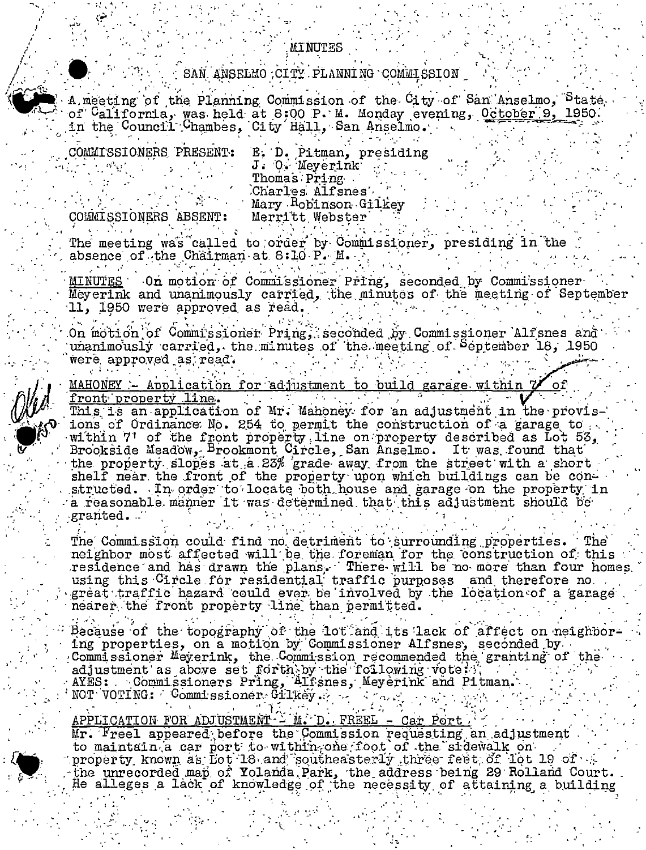## SAN ANSELMO CITY PLANNING COMMISSION

MINUTES

A meeting of the Planning Commission of the City of San Anselmo, Ptate of California, was held at 8:00 P. M. Monday evening, October 9, 1950. in the Council Chambes, City Hall, San Anselmo.

COMMISSIONERS PRESENT:

E. D. Pitman, presiding<br>J. O. Meyerink Thomas Pring Charles Alfsnes Mary Robinson Gilkey Merritt Webster

COMMISSIONERS ABSENT: The meeting was called to order by Commissioner, presiding in the absence of the Chairman at 8:10 P. M.

On motion of Commissioner Pring, seconded by Commissioner MINUTES Meyerink and unanimously carried, the minutes of the meeting of September 11. 1950 were approved as read.

On motion of Commissioner Pring, seconded by Commissioner Alfsnes and unanimously carried, the minutes of the meeting of September 18, 1950 were approved as read.

MAHONEY - Application for adjustment to build garage within 7 front property line. This is an application of Mr. Mahoney for an adjustment in the provis-

ions of Ordinance No. 254 to permit the construction of a garage to within 7' of the front property line on property described as Lot 53. Brookside Meadow, Brookmont Circle, San Anselmo. It was found that the property slopes at a 23% grade away from the street with a short shelf near the front of the property upon which buildings can be constructed. In order to locate both house and garage on the property in a reasonable manner it was determined that this adjustment should be granted.

The Commission could find no detriment to surrounding properties. The` neighbor most affected will be the foreman for the construction of this residence and has drawn the plans. There will be no more than four homes. using this Circle for residential traffic purposes and therefore no. great traffic hazard could ever be involved by the location of a garage nearer the front property line than permitted.

Because of the topography of the lot and its lack of affect on neighboring properties, on a motion by Commissioner Alfsnes, seconded by Commissioner Meyerink, the Commission recommended the granting of the adjustment as above set forth by the following vote: 1 AYES: Commissioners Pring, Alfsnes, Meyerink and Pitman.

APPLICATION FOR ADJUSTMENT - M. D. FREEL - Car Port.

Mr. Freel appeared before the Commission requesting an adjustment to maintain a car port to within one foot of the sidewalk on the number of the sidewalk on the property known as fort 18 and southeasterly three feet of 10t 19 of  $\sim$ the unrecorded map of Yolanda Park, the address being 29 Rolland Court. He alleges a lack of knowledge of the necessity of attaining a building